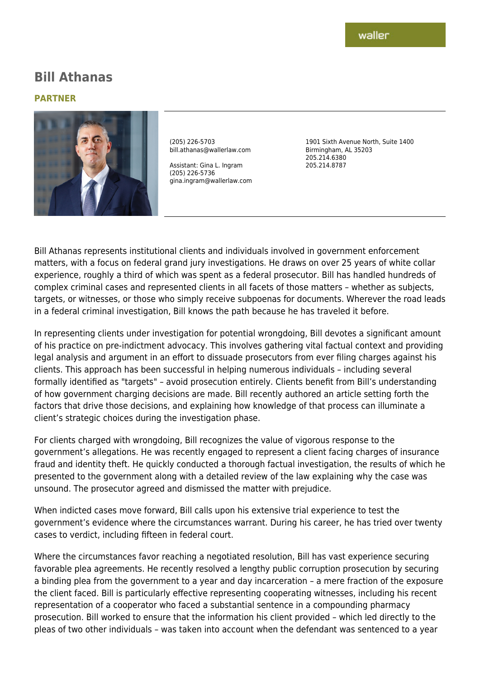# **Bill Athanas**

#### **PARTNER**



(205) 226-5703 bill.athanas@wallerlaw.com

Assistant: Gina L. Ingram (205) 226-5736 gina.ingram@wallerlaw.com 1901 Sixth Avenue North, Suite 1400 Birmingham, AL 35203 205.214.6380 205.214.8787

Bill Athanas represents institutional clients and individuals involved in government enforcement matters, with a focus on federal grand jury investigations. He draws on over 25 years of white collar experience, roughly a third of which was spent as a federal prosecutor. Bill has handled hundreds of complex criminal cases and represented clients in all facets of those matters – whether as subjects, targets, or witnesses, or those who simply receive subpoenas for documents. Wherever the road leads in a federal criminal investigation, Bill knows the path because he has traveled it before.

In representing clients under investigation for potential wrongdoing, Bill devotes a significant amount of his practice on pre-indictment advocacy. This involves gathering vital factual context and providing legal analysis and argument in an effort to dissuade prosecutors from ever filing charges against his clients. This approach has been successful in helping numerous individuals – including several formally identified as "targets" – avoid prosecution entirely. Clients benefit from Bill's understanding of how government charging decisions are made. Bill recently authored an article setting forth the factors that drive those decisions, and explaining how knowledge of that process can illuminate a client's strategic choices during the investigation phase.

For clients charged with wrongdoing, Bill recognizes the value of vigorous response to the government's allegations. He was recently engaged to represent a client facing charges of insurance fraud and identity theft. He quickly conducted a thorough factual investigation, the results of which he presented to the government along with a detailed review of the law explaining why the case was unsound. The prosecutor agreed and dismissed the matter with prejudice.

When indicted cases move forward, Bill calls upon his extensive trial experience to test the government's evidence where the circumstances warrant. During his career, he has tried over twenty cases to verdict, including fifteen in federal court.

Where the circumstances favor reaching a negotiated resolution, Bill has vast experience securing favorable plea agreements. He recently resolved a lengthy public corruption prosecution by securing a binding plea from the government to a year and day incarceration – a mere fraction of the exposure the client faced. Bill is particularly effective representing cooperating witnesses, including his recent representation of a cooperator who faced a substantial sentence in a compounding pharmacy prosecution. Bill worked to ensure that the information his client provided – which led directly to the pleas of two other individuals – was taken into account when the defendant was sentenced to a year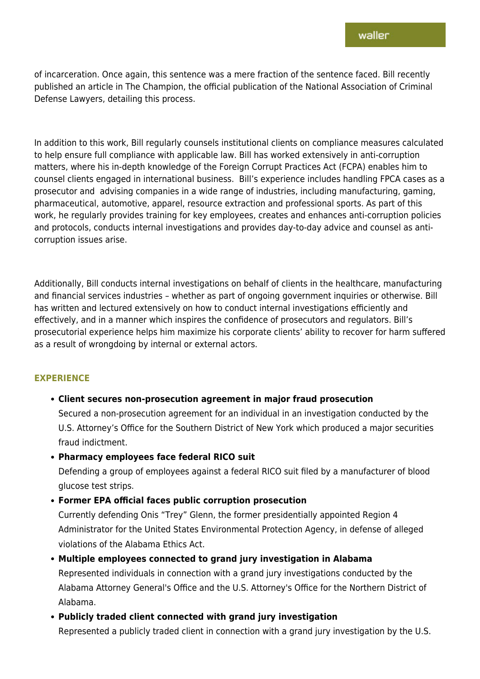of incarceration. Once again, this sentence was a mere fraction of the sentence faced. Bill recently published an article in The Champion, the official publication of the National Association of Criminal Defense Lawyers, detailing this process.

In addition to this work, Bill regularly counsels institutional clients on compliance measures calculated to help ensure full compliance with applicable law. Bill has worked extensively in anti-corruption matters, where his in-depth knowledge of the Foreign Corrupt Practices Act (FCPA) enables him to counsel clients engaged in international business. Bill's experience includes handling FPCA cases as a prosecutor and advising companies in a wide range of industries, including manufacturing, gaming, pharmaceutical, automotive, apparel, resource extraction and professional sports. As part of this work, he regularly provides training for key employees, creates and enhances anti-corruption policies and protocols, conducts internal investigations and provides day-to-day advice and counsel as anticorruption issues arise.

Additionally, Bill conducts internal investigations on behalf of clients in the healthcare, manufacturing and financial services industries – whether as part of ongoing government inquiries or otherwise. Bill has written and lectured extensively on how to conduct internal investigations efficiently and effectively, and in a manner which inspires the confidence of prosecutors and regulators. Bill's prosecutorial experience helps him maximize his corporate clients' ability to recover for harm suffered as a result of wrongdoing by internal or external actors.

### **EXPERIENCE**

### **Client secures non-prosecution agreement in major fraud prosecution**

Secured a non-prosecution agreement for an individual in an investigation conducted by the U.S. Attorney's Office for the Southern District of New York which produced a major securities fraud indictment.

**Pharmacy employees face federal RICO suit**

Defending a group of employees against a federal RICO suit filed by a manufacturer of blood glucose test strips.

### **Former EPA official faces public corruption prosecution**

Currently defending Onis "Trey" Glenn, the former presidentially appointed Region 4 Administrator for the United States Environmental Protection Agency, in defense of alleged violations of the Alabama Ethics Act.

**Multiple employees connected to grand jury investigation in Alabama** Represented individuals in connection with a grand jury investigations conducted by the Alabama Attorney General's Office and the U.S. Attorney's Office for the Northern District of Alabama.

**Publicly traded client connected with grand jury investigation**

Represented a publicly traded client in connection with a grand jury investigation by the U.S.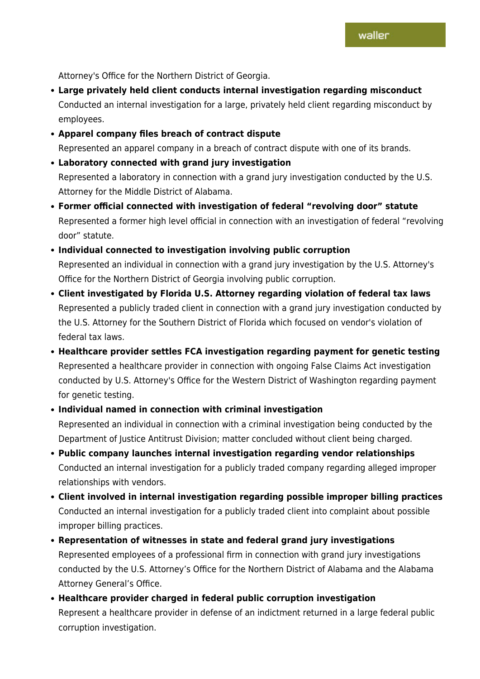Attorney's Office for the Northern District of Georgia.

- **Large privately held client conducts internal investigation regarding misconduct** Conducted an internal investigation for a large, privately held client regarding misconduct by employees.
- **Apparel company files breach of contract dispute** Represented an apparel company in a breach of contract dispute with one of its brands.
- **Laboratory connected with grand jury investigation** Represented a laboratory in connection with a grand jury investigation conducted by the U.S. Attorney for the Middle District of Alabama.
- **Former official connected with investigation of federal "revolving door" statute** Represented a former high level official in connection with an investigation of federal "revolving door" statute.

## **Individual connected to investigation involving public corruption**

Represented an individual in connection with a grand jury investigation by the U.S. Attorney's Office for the Northern District of Georgia involving public corruption.

- **Client investigated by Florida U.S. Attorney regarding violation of federal tax laws** Represented a publicly traded client in connection with a grand jury investigation conducted by the U.S. Attorney for the Southern District of Florida which focused on vendor's violation of federal tax laws.
- **Healthcare provider settles FCA investigation regarding payment for genetic testing** Represented a healthcare provider in connection with ongoing False Claims Act investigation conducted by U.S. Attorney's Office for the Western District of Washington regarding payment for genetic testing.
- **Individual named in connection with criminal investigation** Represented an individual in connection with a criminal investigation being conducted by the Department of Justice Antitrust Division; matter concluded without client being charged.
- **Public company launches internal investigation regarding vendor relationships** Conducted an internal investigation for a publicly traded company regarding alleged improper relationships with vendors.
- **Client involved in internal investigation regarding possible improper billing practices** Conducted an internal investigation for a publicly traded client into complaint about possible improper billing practices.
- **Representation of witnesses in state and federal grand jury investigations** Represented employees of a professional firm in connection with grand jury investigations conducted by the U.S. Attorney's Office for the Northern District of Alabama and the Alabama Attorney General's Office.
- **Healthcare provider charged in federal public corruption investigation** Represent a healthcare provider in defense of an indictment returned in a large federal public corruption investigation.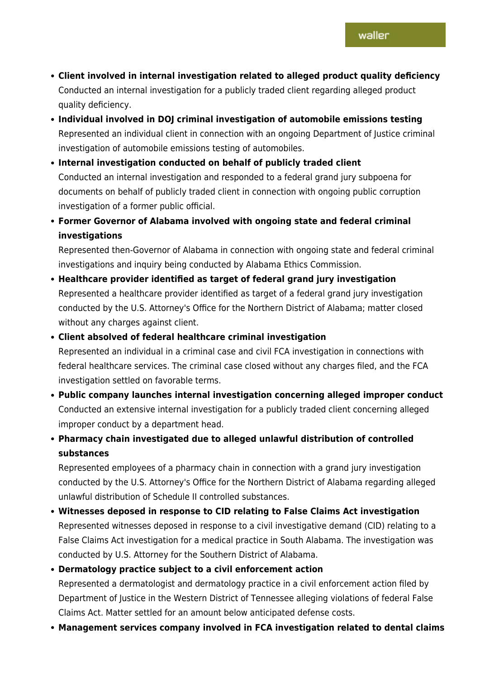- **Client involved in internal investigation related to alleged product quality deficiency** Conducted an internal investigation for a publicly traded client regarding alleged product quality deficiency.
- **Individual involved in DOJ criminal investigation of automobile emissions testing** Represented an individual client in connection with an ongoing Department of Justice criminal investigation of automobile emissions testing of automobiles.
- **Internal investigation conducted on behalf of publicly traded client** Conducted an internal investigation and responded to a federal grand jury subpoena for documents on behalf of publicly traded client in connection with ongoing public corruption investigation of a former public official.
- **Former Governor of Alabama involved with ongoing state and federal criminal investigations**

Represented then-Governor of Alabama in connection with ongoing state and federal criminal investigations and inquiry being conducted by Alabama Ethics Commission.

- **Healthcare provider identified as target of federal grand jury investigation** Represented a healthcare provider identified as target of a federal grand jury investigation conducted by the U.S. Attorney's Office for the Northern District of Alabama; matter closed without any charges against client.
- **Client absolved of federal healthcare criminal investigation** Represented an individual in a criminal case and civil FCA investigation in connections with federal healthcare services. The criminal case closed without any charges filed, and the FCA investigation settled on favorable terms.
- **Public company launches internal investigation concerning alleged improper conduct** Conducted an extensive internal investigation for a publicly traded client concerning alleged improper conduct by a department head.
- **Pharmacy chain investigated due to alleged unlawful distribution of controlled substances**

Represented employees of a pharmacy chain in connection with a grand jury investigation conducted by the U.S. Attorney's Office for the Northern District of Alabama regarding alleged unlawful distribution of Schedule II controlled substances.

**Witnesses deposed in response to CID relating to False Claims Act investigation** Represented witnesses deposed in response to a civil investigative demand (CID) relating to a False Claims Act investigation for a medical practice in South Alabama. The investigation was conducted by U.S. Attorney for the Southern District of Alabama.

# **Dermatology practice subject to a civil enforcement action**

Represented a dermatologist and dermatology practice in a civil enforcement action filed by Department of Justice in the Western District of Tennessee alleging violations of federal False Claims Act. Matter settled for an amount below anticipated defense costs.

**Management services company involved in FCA investigation related to dental claims**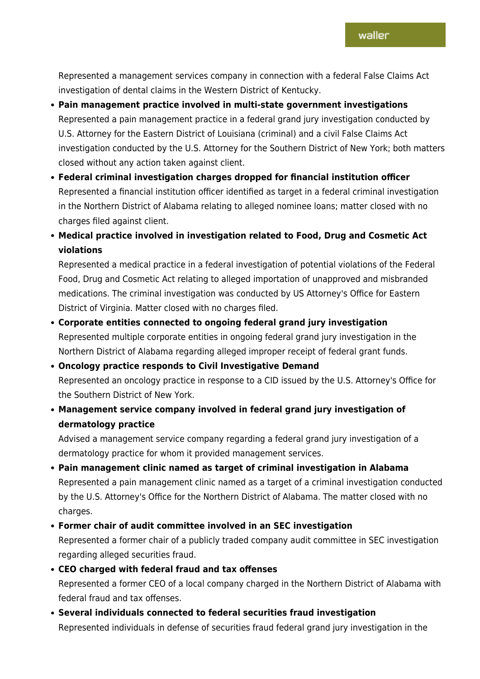Represented a management services company in connection with a federal False Claims Act investigation of dental claims in the Western District of Kentucky.

- **Pain management practice involved in multi-state government investigations** Represented a pain management practice in a federal grand jury investigation conducted by U.S. Attorney for the Eastern District of Louisiana (criminal) and a civil False Claims Act investigation conducted by the U.S. Attorney for the Southern District of New York; both matters closed without any action taken against client.
- **Federal criminal investigation charges dropped for financial institution officer** Represented a financial institution officer identified as target in a federal criminal investigation in the Northern District of Alabama relating to alleged nominee loans; matter closed with no charges filed against client.
- **Medical practice involved in investigation related to Food, Drug and Cosmetic Act violations**

Represented a medical practice in a federal investigation of potential violations of the Federal Food, Drug and Cosmetic Act relating to alleged importation of unapproved and misbranded medications. The criminal investigation was conducted by US Attorney's Office for Eastern District of Virginia. Matter closed with no charges filed.

- **Corporate entities connected to ongoing federal grand jury investigation** Represented multiple corporate entities in ongoing federal grand jury investigation in the Northern District of Alabama regarding alleged improper receipt of federal grant funds.
- **Oncology practice responds to Civil Investigative Demand** Represented an oncology practice in response to a CID issued by the U.S. Attorney's Office for the Southern District of New York.
- **Management service company involved in federal grand jury investigation of dermatology practice**

Advised a management service company regarding a federal grand jury investigation of a dermatology practice for whom it provided management services.

- **Pain management clinic named as target of criminal investigation in Alabama** Represented a pain management clinic named as a target of a criminal investigation conducted by the U.S. Attorney's Office for the Northern District of Alabama. The matter closed with no charges.
- **Former chair of audit committee involved in an SEC investigation** Represented a former chair of a publicly traded company audit committee in SEC investigation regarding alleged securities fraud.
- **CEO charged with federal fraud and tax offenses** Represented a former CEO of a local company charged in the Northern District of Alabama with federal fraud and tax offenses.
- **Several individuals connected to federal securities fraud investigation** Represented individuals in defense of securities fraud federal grand jury investigation in the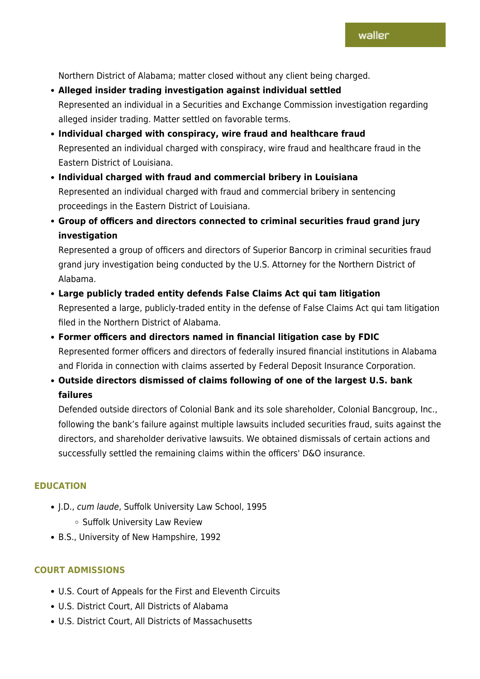Northern District of Alabama; matter closed without any client being charged.

- **Alleged insider trading investigation against individual settled** Represented an individual in a Securities and Exchange Commission investigation regarding alleged insider trading. Matter settled on favorable terms.
- **Individual charged with conspiracy, wire fraud and healthcare fraud** Represented an individual charged with conspiracy, wire fraud and healthcare fraud in the Eastern District of Louisiana.
- **Individual charged with fraud and commercial bribery in Louisiana** Represented an individual charged with fraud and commercial bribery in sentencing proceedings in the Eastern District of Louisiana.
- **Group of officers and directors connected to criminal securities fraud grand jury investigation**

Represented a group of officers and directors of Superior Bancorp in criminal securities fraud grand jury investigation being conducted by the U.S. Attorney for the Northern District of Alabama.

- **Large publicly traded entity defends False Claims Act qui tam litigation** Represented a large, publicly-traded entity in the defense of False Claims Act qui tam litigation filed in the Northern District of Alabama.
- **Former officers and directors named in financial litigation case by FDIC** Represented former officers and directors of federally insured financial institutions in Alabama and Florida in connection with claims asserted by Federal Deposit Insurance Corporation.
- **Outside directors dismissed of claims following of one of the largest U.S. bank failures**

Defended outside directors of Colonial Bank and its sole shareholder, Colonial Bancgroup, Inc., following the bank's failure against multiple lawsuits included securities fraud, suits against the directors, and shareholder derivative lawsuits. We obtained dismissals of certain actions and successfully settled the remaining claims within the officers' D&O insurance.

### **EDUCATION**

- J.D., cum laude, Suffolk University Law School, 1995
	- **Suffolk University Law Review**
- B.S., University of New Hampshire, 1992

### **COURT ADMISSIONS**

- U.S. Court of Appeals for the First and Eleventh Circuits
- U.S. District Court, All Districts of Alabama
- U.S. District Court, All Districts of Massachusetts